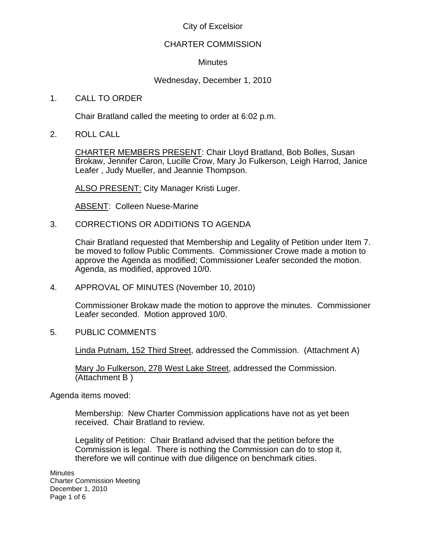# City of Excelsior

## CHARTER COMMISSION

## **Minutes**

# Wednesday, December 1, 2010

## 1. CALL TO ORDER

Chair Bratland called the meeting to order at 6:02 p.m.

2. ROLL CALL

CHARTER MEMBERS PRESENT: Chair Lloyd Bratland, Bob Bolles, Susan Brokaw, Jennifer Caron, Lucille Crow, Mary Jo Fulkerson, Leigh Harrod, Janice Leafer , Judy Mueller, and Jeannie Thompson.

ALSO PRESENT: City Manager Kristi Luger.

ABSENT: Colleen Nuese-Marine

3. CORRECTIONS OR ADDITIONS TO AGENDA

Chair Bratland requested that Membership and Legality of Petition under Item 7. be moved to follow Public Comments. Commissioner Crowe made a motion to approve the Agenda as modified; Commissioner Leafer seconded the motion. Agenda, as modified, approved 10/0.

4. APPROVAL OF MINUTES (November 10, 2010)

Commissioner Brokaw made the motion to approve the minutes. Commissioner Leafer seconded. Motion approved 10/0.

5. PUBLIC COMMENTS

Linda Putnam, 152 Third Street, addressed the Commission. (Attachment A)

Mary Jo Fulkerson, 278 West Lake Street, addressed the Commission. (Attachment B )

Agenda items moved:

Membership: New Charter Commission applications have not as yet been received. Chair Bratland to review.

Legality of Petition: Chair Bratland advised that the petition before the Commission is legal. There is nothing the Commission can do to stop it, therefore we will continue with due diligence on benchmark cities.

**Minutes** Charter Commission Meeting December 1, 2010 Page 1 of 6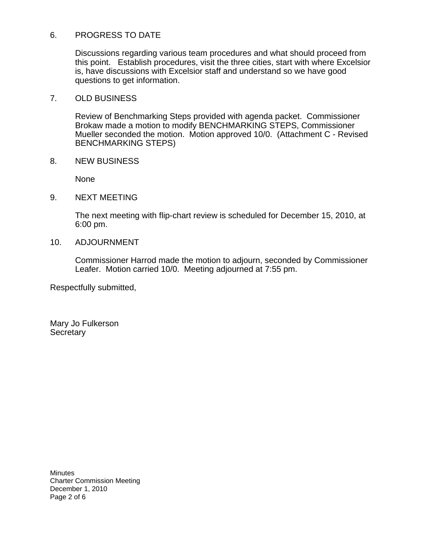## 6. PROGRESS TO DATE

Discussions regarding various team procedures and what should proceed from this point. Establish procedures, visit the three cities, start with where Excelsior is, have discussions with Excelsior staff and understand so we have good questions to get information.

#### 7. OLD BUSINESS

Review of Benchmarking Steps provided with agenda packet. Commissioner Brokaw made a motion to modify BENCHMARKING STEPS, Commissioner Mueller seconded the motion. Motion approved 10/0. (Attachment C - Revised BENCHMARKING STEPS)

8. NEW BUSINESS

None

9. NEXT MEETING

The next meeting with flip-chart review is scheduled for December 15, 2010, at 6:00 pm.

## 10. ADJOURNMENT

Commissioner Harrod made the motion to adjourn, seconded by Commissioner Leafer. Motion carried 10/0. Meeting adjourned at 7:55 pm.

Respectfully submitted,

Mary Jo Fulkerson **Secretary** 

**Minutes** Charter Commission Meeting December 1, 2010 Page 2 of 6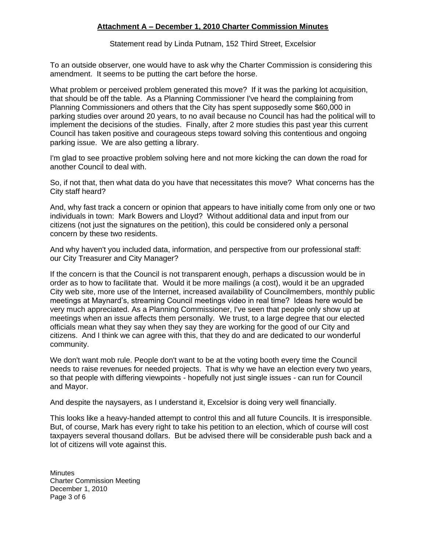#### **Attachment A – December 1, 2010 Charter Commission Minutes**

Statement read by Linda Putnam, 152 Third Street, Excelsior

To an outside observer, one would have to ask why the Charter Commission is considering this amendment. It seems to be putting the cart before the horse.

What problem or perceived problem generated this move? If it was the parking lot acquisition, that should be off the table. As a Planning Commissioner I've heard the complaining from Planning Commissioners and others that the City has spent supposedly some \$60,000 in parking studies over around 20 years, to no avail because no Council has had the political will to implement the decisions of the studies. Finally, after 2 more studies this past year this current Council has taken positive and courageous steps toward solving this contentious and ongoing parking issue. We are also getting a library.

I'm glad to see proactive problem solving here and not more kicking the can down the road for another Council to deal with.

So, if not that, then what data do you have that necessitates this move? What concerns has the City staff heard?

And, why fast track a concern or opinion that appears to have initially come from only one or two individuals in town: Mark Bowers and Lloyd? Without additional data and input from our citizens (not just the signatures on the petition), this could be considered only a personal concern by these two residents.

And why haven't you included data, information, and perspective from our professional staff: our City Treasurer and City Manager?

If the concern is that the Council is not transparent enough, perhaps a discussion would be in order as to how to facilitate that. Would it be more mailings (a cost), would it be an upgraded City web site, more use of the Internet, increased availability of Councilmembers, monthly public meetings at Maynard's, streaming Council meetings video in real time? Ideas here would be very much appreciated. As a Planning Commissioner, I've seen that people only show up at meetings when an issue affects them personally. We trust, to a large degree that our elected officials mean what they say when they say they are working for the good of our City and citizens. And I think we can agree with this, that they do and are dedicated to our wonderful community.

We don't want mob rule. People don't want to be at the voting booth every time the Council needs to raise revenues for needed projects. That is why we have an election every two years, so that people with differing viewpoints - hopefully not just single issues - can run for Council and Mayor.

And despite the naysayers, as I understand it, Excelsior is doing very well financially.

This looks like a heavy-handed attempt to control this and all future Councils. It is irresponsible. But, of course, Mark has every right to take his petition to an election, which of course will cost taxpayers several thousand dollars. But be advised there will be considerable push back and a lot of citizens will vote against this.

**Minutes** Charter Commission Meeting December 1, 2010 Page 3 of 6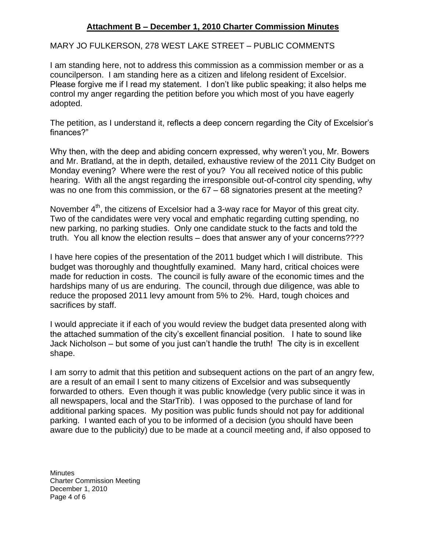# **Attachment B – December 1, 2010 Charter Commission Minutes**

MARY JO FULKERSON, 278 WEST LAKE STREET – PUBLIC COMMENTS

I am standing here, not to address this commission as a commission member or as a councilperson. I am standing here as a citizen and lifelong resident of Excelsior. Please forgive me if I read my statement. I don't like public speaking; it also helps me control my anger regarding the petition before you which most of you have eagerly adopted.

The petition, as I understand it, reflects a deep concern regarding the City of Excelsior's finances?"

Why then, with the deep and abiding concern expressed, why weren't you, Mr. Bowers and Mr. Bratland, at the in depth, detailed, exhaustive review of the 2011 City Budget on Monday evening? Where were the rest of you? You all received notice of this public hearing. With all the angst regarding the irresponsible out-of-control city spending, why was no one from this commission, or the 67 – 68 signatories present at the meeting?

November  $4<sup>th</sup>$ , the citizens of Excelsior had a 3-way race for Mayor of this great city. Two of the candidates were very vocal and emphatic regarding cutting spending, no new parking, no parking studies. Only one candidate stuck to the facts and told the truth. You all know the election results – does that answer any of your concerns????

I have here copies of the presentation of the 2011 budget which I will distribute. This budget was thoroughly and thoughtfully examined. Many hard, critical choices were made for reduction in costs. The council is fully aware of the economic times and the hardships many of us are enduring. The council, through due diligence, was able to reduce the proposed 2011 levy amount from 5% to 2%. Hard, tough choices and sacrifices by staff.

I would appreciate it if each of you would review the budget data presented along with the attached summation of the city's excellent financial position. I hate to sound like Jack Nicholson – but some of you just can't handle the truth! The city is in excellent shape.

I am sorry to admit that this petition and subsequent actions on the part of an angry few, are a result of an email I sent to many citizens of Excelsior and was subsequently forwarded to others. Even though it was public knowledge (very public since it was in all newspapers, local and the StarTrib). I was opposed to the purchase of land for additional parking spaces. My position was public funds should not pay for additional parking. I wanted each of you to be informed of a decision (you should have been aware due to the publicity) due to be made at a council meeting and, if also opposed to

**Minutes** Charter Commission Meeting December 1, 2010 Page 4 of 6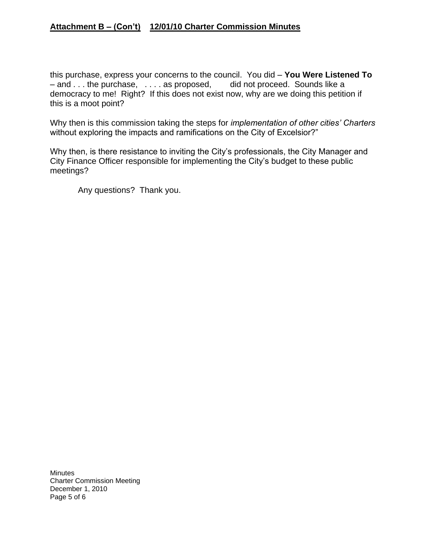# **Attachment B – (Con't) 12/01/10 Charter Commission Minutes**

this purchase, express your concerns to the council. You did – **You Were Listened To** – and . . . the purchase, . . . . as proposed, did not proceed. Sounds like a democracy to me! Right? If this does not exist now, why are we doing this petition if this is a moot point?

Why then is this commission taking the steps for *implementation of other cities' Charters* without exploring the impacts and ramifications on the City of Excelsior?"

Why then, is there resistance to inviting the City's professionals, the City Manager and City Finance Officer responsible for implementing the City's budget to these public meetings?

Any questions? Thank you.

**Minutes** Charter Commission Meeting December 1, 2010 Page 5 of 6